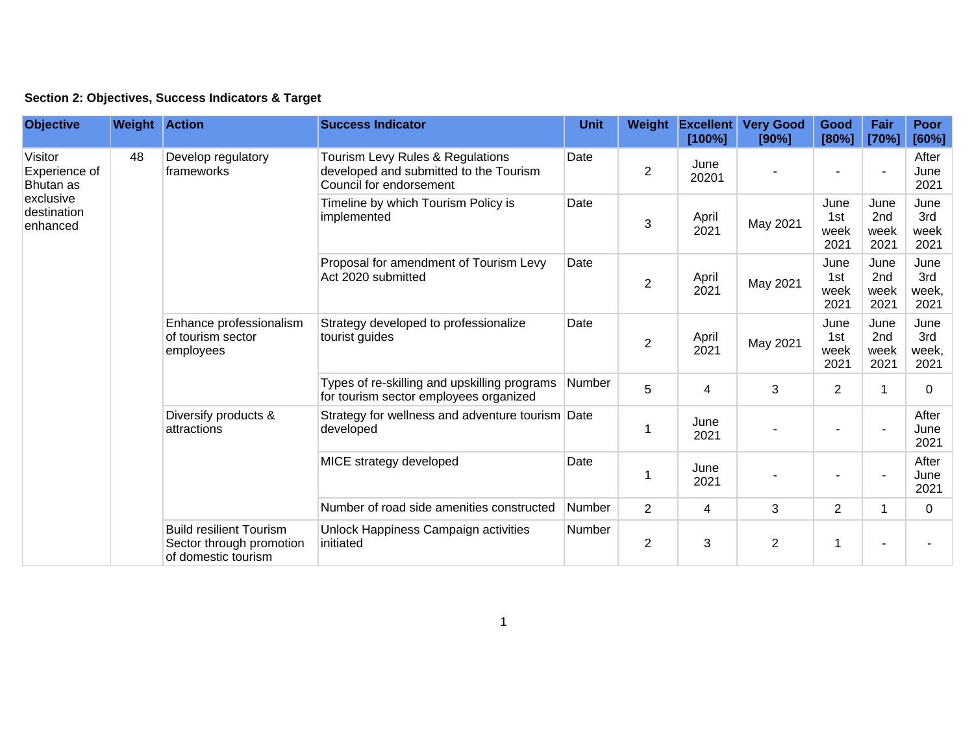| Section 2: Objectives, Success Indicators & Target |  |  |  |  |  |
|----------------------------------------------------|--|--|--|--|--|
|----------------------------------------------------|--|--|--|--|--|

| <b>Objective</b>                                                              | <b>Weight Action</b> |                                                                                                  | <b>Success Indicator</b>                                                                              | <b>Unit</b> | <b>Weight</b>  | <b>Excellent</b><br>[100%]                                                        | <b>Very Good</b><br>[90%]                         | Good<br>[80%]               | Fair<br>[70%]               | <b>Poor</b><br>[60%]         |                |             |
|-------------------------------------------------------------------------------|----------------------|--------------------------------------------------------------------------------------------------|-------------------------------------------------------------------------------------------------------|-------------|----------------|-----------------------------------------------------------------------------------|---------------------------------------------------|-----------------------------|-----------------------------|------------------------------|----------------|-------------|
| Visitor<br>Experience of<br>Bhutan as<br>exclusive<br>destination<br>enhanced | 48                   | Develop regulatory<br>frameworks                                                                 | Tourism Levy Rules & Regulations<br>developed and submitted to the Tourism<br>Council for endorsement | Date        | $\overline{2}$ | June<br>20201                                                                     |                                                   |                             |                             | After<br>June<br>2021        |                |             |
|                                                                               |                      |                                                                                                  | Timeline by which Tourism Policy is<br>implemented                                                    | Date        | 3              | April<br>2021                                                                     | May 2021                                          | June<br>1st<br>week<br>2021 | June<br>2nd<br>week<br>2021 | June<br>3rd<br>week<br>2021  |                |             |
|                                                                               |                      |                                                                                                  | Proposal for amendment of Tourism Levy<br>Act 2020 submitted                                          | Date        | $\overline{2}$ | April<br>2021                                                                     | May 2021                                          | June<br>1st<br>week<br>2021 | June<br>2nd<br>week<br>2021 | June<br>3rd<br>week,<br>2021 |                |             |
|                                                                               |                      | Enhance professionalism<br>of tourism sector<br>employees<br>Diversify products &<br>attractions | Strategy developed to professionalize<br>tourist guides                                               | Date        | $\overline{2}$ | April<br>2021                                                                     | May 2021                                          | June<br>1st<br>week<br>2021 | June<br>2nd<br>week<br>2021 | June<br>3rd<br>week,<br>2021 |                |             |
|                                                                               |                      |                                                                                                  | Types of re-skilling and upskilling programs<br>for tourism sector employees organized                | Number      | 5              | $\overline{4}$                                                                    | 3                                                 | $\overline{2}$              |                             | $\mathbf 0$                  |                |             |
|                                                                               |                      |                                                                                                  | Strategy for wellness and adventure tourism Date<br>developed                                         |             |                | June<br>2021                                                                      |                                                   |                             |                             | After<br>June<br>2021        |                |             |
|                                                                               |                      |                                                                                                  | MICE strategy developed                                                                               | Date        | -1             | June<br>2021                                                                      |                                                   |                             |                             | After<br>June<br>2021        |                |             |
|                                                                               |                      |                                                                                                  | Number of road side amenities constructed                                                             | Number      | $\overline{2}$ | $\overline{4}$                                                                    | 3                                                 | $\overline{2}$              | 1                           | $\overline{0}$               |                |             |
|                                                                               |                      |                                                                                                  |                                                                                                       |             |                | <b>Build resilient Tourism</b><br>Sector through promotion<br>of domestic tourism | Unlock Happiness Campaign activities<br>initiated | Number                      | $\overline{2}$              | 3                            | $\overline{c}$ | $\mathbf 1$ |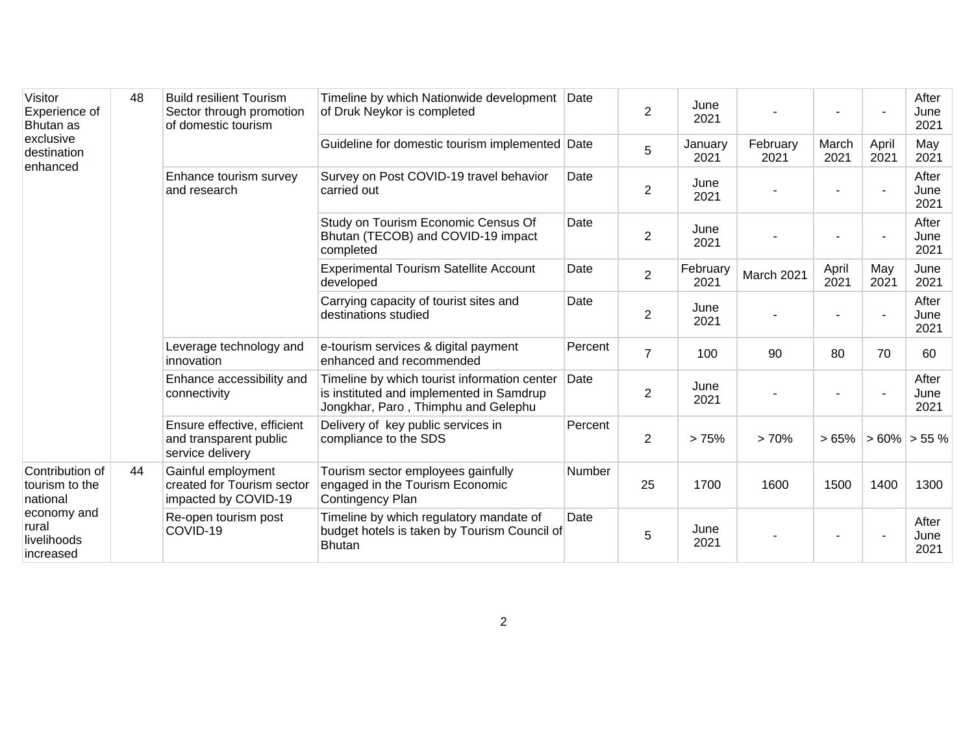| Visitor<br>Experience of<br>Bhutan as<br>exclusive<br>destination<br>enhanced                     | 48 | <b>Build resilient Tourism</b><br>Sector through promotion<br>of domestic tourism | Timeline by which Nationwide development Date<br>of Druk Neykor is completed                                                    |                                                                                                          | $\overline{2}$   | June<br>2021     |                  |               |                       | After<br>June<br>2021 |
|---------------------------------------------------------------------------------------------------|----|-----------------------------------------------------------------------------------|---------------------------------------------------------------------------------------------------------------------------------|----------------------------------------------------------------------------------------------------------|------------------|------------------|------------------|---------------|-----------------------|-----------------------|
|                                                                                                   |    |                                                                                   | Guideline for domestic tourism implemented Date                                                                                 |                                                                                                          | 5                | January<br>2021  | February<br>2021 | March<br>2021 | April<br>2021         | May<br>2021           |
|                                                                                                   |    | Enhance tourism survey<br>and research                                            | Survey on Post COVID-19 travel behavior<br>carried out                                                                          | Date                                                                                                     | $\overline{2}$   | June<br>2021     |                  |               |                       | After<br>June<br>2021 |
|                                                                                                   |    |                                                                                   | Study on Tourism Economic Census Of<br>Bhutan (TECOB) and COVID-19 impact<br>completed                                          | Date                                                                                                     | $\overline{2}$   | June<br>2021     |                  |               |                       | After<br>June<br>2021 |
|                                                                                                   |    |                                                                                   | <b>Experimental Tourism Satellite Account</b><br>developed                                                                      | Date                                                                                                     | 2                | February<br>2021 | March 2021       | April<br>2021 | May<br>2021           | June<br>2021          |
|                                                                                                   |    |                                                                                   | Carrying capacity of tourist sites and<br>destinations studied                                                                  | Date                                                                                                     | $\boldsymbol{2}$ | June<br>2021     |                  |               |                       | After<br>June<br>2021 |
|                                                                                                   |    | Leverage technology and<br>innovation                                             | e-tourism services & digital payment<br>enhanced and recommended                                                                | Percent                                                                                                  | $\overline{7}$   | 100              | 90               | 80            | 70                    | 60                    |
|                                                                                                   |    | Enhance accessibility and<br>connectivity                                         | Timeline by which tourist information center<br>is instituted and implemented in Samdrup<br>Jongkhar, Paro, Thimphu and Gelephu | Date                                                                                                     | $\overline{2}$   | June<br>2021     |                  |               |                       | After<br>June<br>2021 |
|                                                                                                   |    | Ensure effective, efficient<br>and transparent public<br>service delivery         | Delivery of key public services in<br>compliance to the SDS                                                                     | Percent                                                                                                  | $\overline{2}$   | >75%             | >70%             |               | $> 65\%$ > 60% > 55 % |                       |
| Contribution of<br>tourism to the<br>national<br>economy and<br>rural<br>livelihoods<br>increased | 44 | Gainful employment<br>created for Tourism sector<br>impacted by COVID-19          | Tourism sector employees gainfully<br>engaged in the Tourism Economic<br>Contingency Plan                                       | Number                                                                                                   | 25               | 1700             | 1600             | 1500          | 1400                  | 1300                  |
|                                                                                                   |    |                                                                                   | Re-open tourism post<br>COVID-19                                                                                                | Timeline by which regulatory mandate of<br>budget hotels is taken by Tourism Council of<br><b>Bhutan</b> | Date             | 5                | June<br>2021     |               |                       |                       |